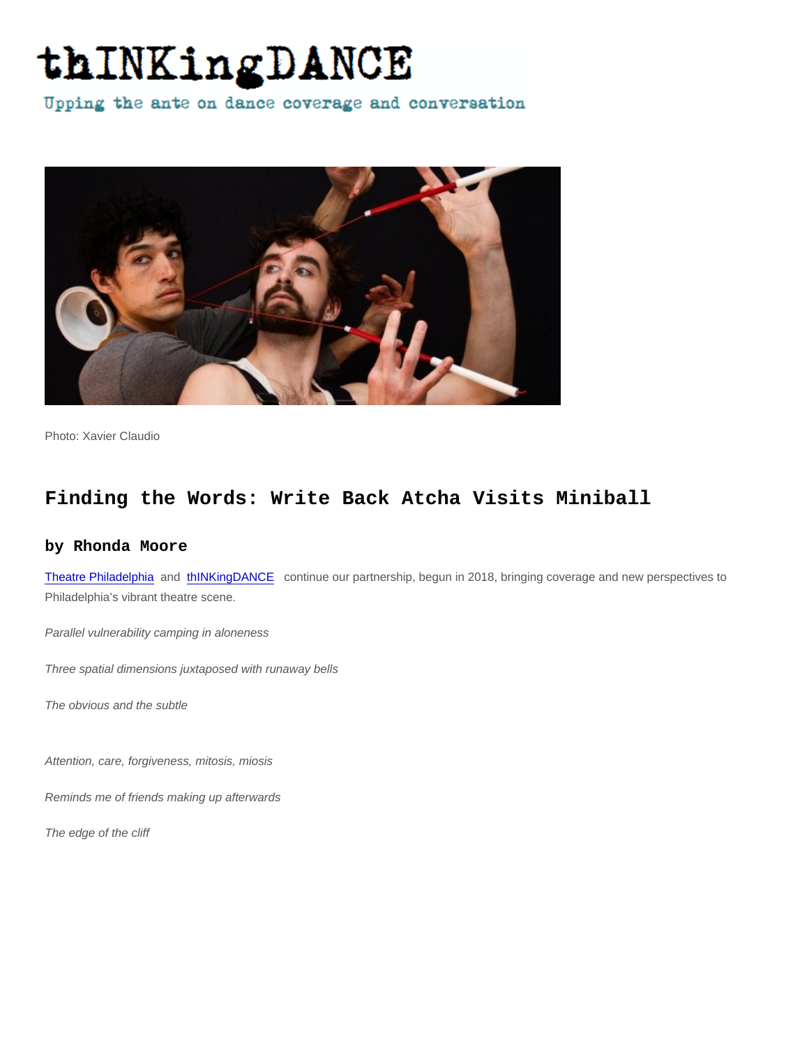Photo: Xavier Claudio

## Finding the Words: Write Back Atcha Visits Miniball

## by Rhonda Moore

[Theatre Philadelphia](https://www.theatrephiladelphia.org/theatre-news) and [thINKingDANCE](http://thinkingdance.net) continue our partnership, begun in 2018, bringing coverage and new perspectives to Philadelphia's vibrant theatre scene.

Parallel vulnerability camping in aloneness

Three spatial dimensions juxtaposed with runaway bells

The obvious and the subtle

Attention, care, forgiveness, mitosis, miosis

Reminds me of friends making up afterwards

The edge of the cliff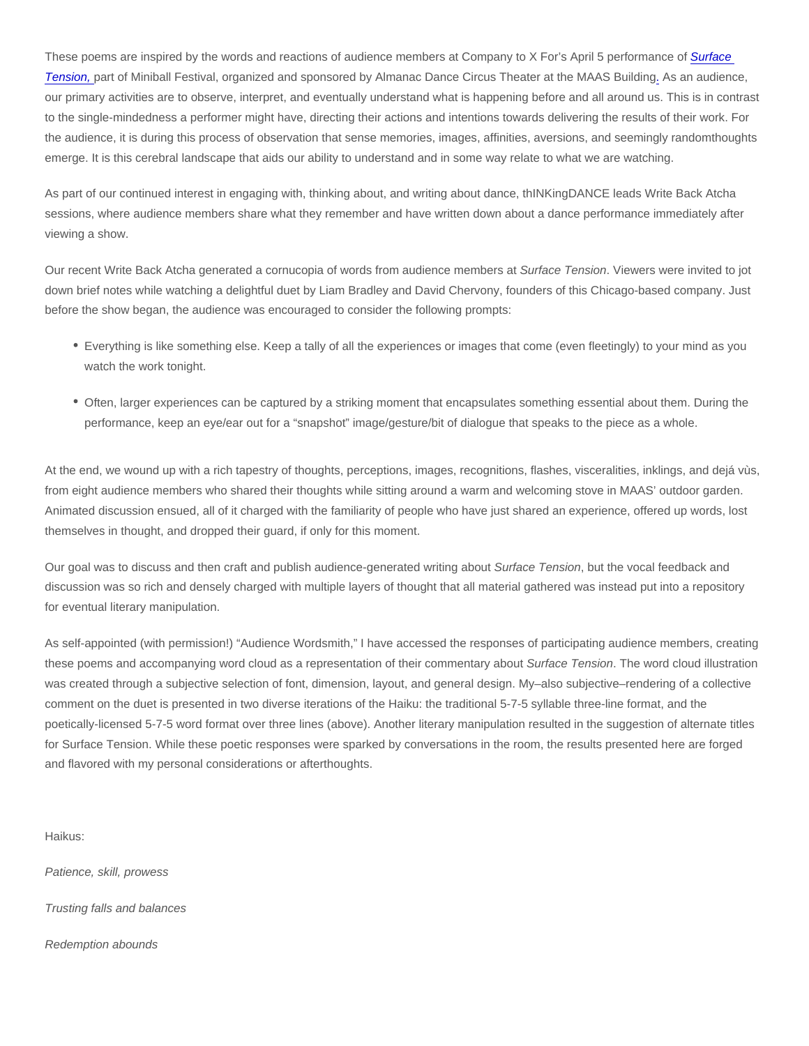These poems are inspired by the words and reactions of audience members at Company to X For's April 5 performance of Surface [Tension,](https://www.cannonballfestival.org/surface-tension) part of Miniball Festival, organized and sponsored by Almanac Dance Circus Theater at the MAAS Building[.](https://www.cannonballfestival.org/surface-tension) As an audience, our primary activities are to observe, interpret, and eventually understand what is happening before and all around us. This is in contrast to the single-mindedness a performer might have, directing their actions and intentions towards delivering the results of their work. For the audience, it is during this process of observation that sense memories, images, affinities, aversions, and seemingly randomthoughts emerge. It is this cerebral landscape that aids our ability to understand and in some way relate to what we are watching.

As part of our continued interest in engaging with, thinking about, and writing about dance, thINKingDANCE leads Write Back Atcha sessions, where audience members share what they remember and have written down about a dance performance immediately after viewing a show.

Our recent Write Back Atcha generated a cornucopia of words from audience members at Surface Tension. Viewers were invited to jot down brief notes while watching a delightful duet by Liam Bradley and David Chervony, founders of this Chicago-based company. Just before the show began, the audience was encouraged to consider the following prompts:

- Everything is like something else. Keep a tally of all the experiences or images that come (even fleetingly) to your mind as you watch the work tonight.
- Often, larger experiences can be captured by a striking moment that encapsulates something essential about them. During the performance, keep an eye/ear out for a "snapshot" image/gesture/bit of dialogue that speaks to the piece as a whole.

At the end, we wound up with a rich tapestry of thoughts, perceptions, images, recognitions, flashes, visceralities, inklings, and dejá vùs, from eight audience members who shared their thoughts while sitting around a warm and welcoming stove in MAAS' outdoor garden. Animated discussion ensued, all of it charged with the familiarity of people who have just shared an experience, offered up words, lost themselves in thought, and dropped their guard, if only for this moment.

Our goal was to discuss and then craft and publish audience-generated writing about Surface Tension, but the vocal feedback and discussion was so rich and densely charged with multiple layers of thought that all material gathered was instead put into a repository for eventual literary manipulation.

As self-appointed (with permission!) "Audience Wordsmith," I have accessed the responses of participating audience members, creating these poems and accompanying word cloud as a representation of their commentary about Surface Tension. The word cloud illustration was created through a subjective selection of font, dimension, layout, and general design. My–also subjective–rendering of a collective comment on the duet is presented in two diverse iterations of the Haiku: the traditional 5-7-5 syllable three-line format, and the poetically-licensed 5-7-5 word format over three lines (above). Another literary manipulation resulted in the suggestion of alternate titles for Surface Tension. While these poetic responses were sparked by conversations in the room, the results presented here are forged and flavored with my personal considerations or afterthoughts.

Haikus:

Patience, skill, prowess

Trusting falls and balances

Redemption abounds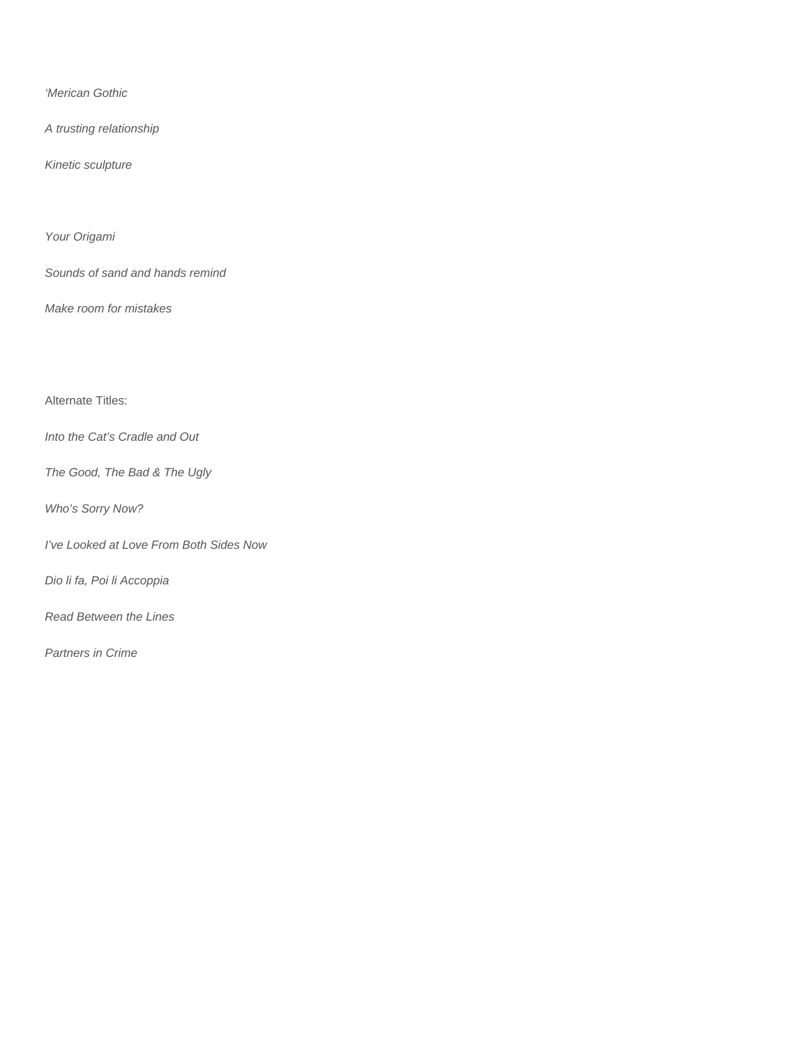'Merican Gothic

A trusting relationship

Kinetic sculpture

Your Origami

Sounds of sand and hands remind

Make room for mistakes

Alternate Titles:

Into the Cat's Cradle and Out

The Good, The Bad & The Ugly

Who's Sorry Now?

I've Looked at Love From Both Sides Now

Dio li fa, Poi li Accoppia

Read Between the Lines

Partners in Crime